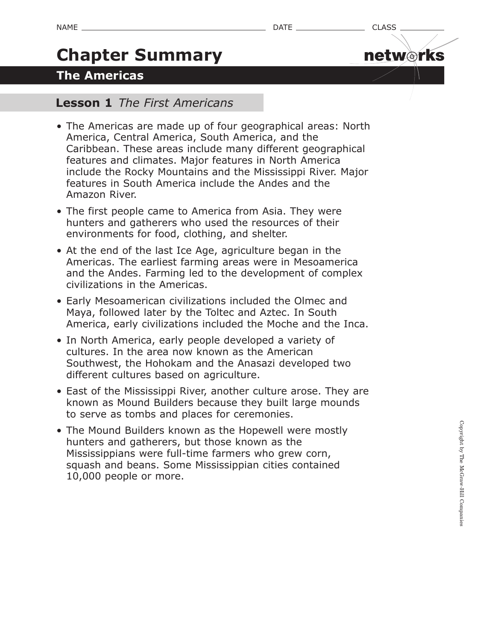netw orks

# **Chapter Summary**

## **The Americas**

### **Lesson 1** *The First Americans*

- The Americas are made up of four geographical areas: North America, Central America, South America, and the Caribbean. These areas include many different geographical features and climates. Major features in North America include the Rocky Mountains and the Mississippi River. Major features in South America include the Andes and the Amazon River.
- The first people came to America from Asia. They were hunters and gatherers who used the resources of their environments for food, clothing, and shelter.
- At the end of the last Ice Age, agriculture began in the Americas. The earliest farming areas were in Mesoamerica and the Andes. Farming led to the development of complex civilizations in the Americas.
- Early Mesoamerican civilizations included the Olmec and Maya, followed later by the Toltec and Aztec. In South America, early civilizations included the Moche and the Inca.
- In North America, early people developed a variety of cultures. In the area now known as the American Southwest, the Hohokam and the Anasazi developed two different cultures based on agriculture.
- East of the Mississippi River, another culture arose. They are known as Mound Builders because they built large mounds to serve as tombs and places for ceremonies.
- The Mound Builders known as the Hopewell were mostly hunters and gatherers, but those known as the Mississippians were full-time farmers who grew corn, squash and beans. Some Mississippian cities contained 10,000 people or more.